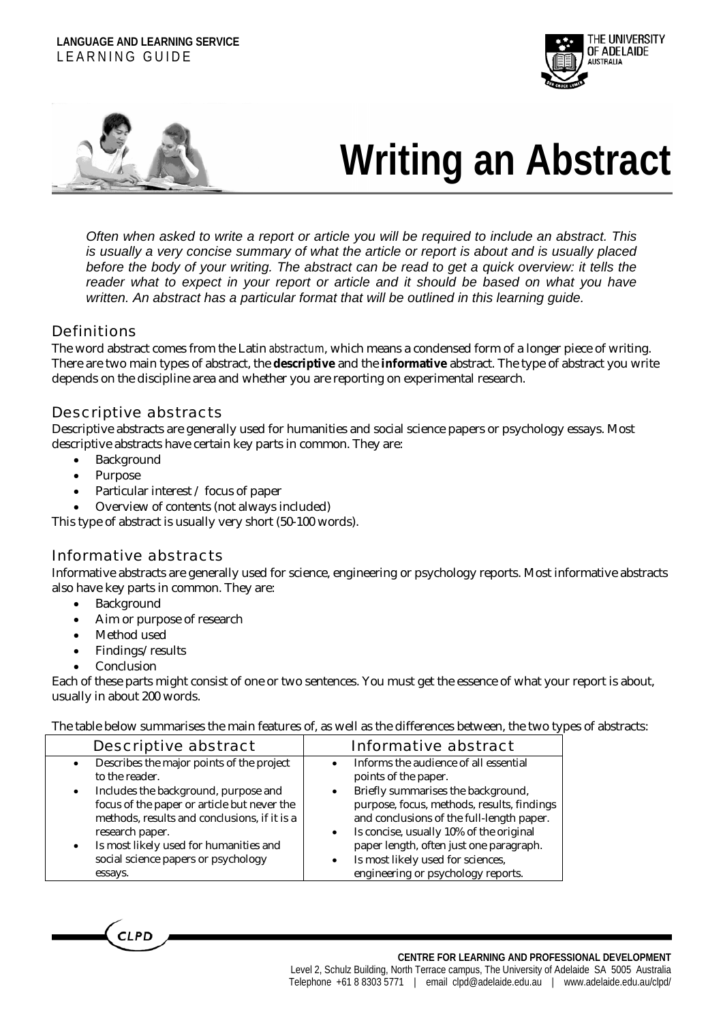#### **LANGUAGE AND LEARNING SERVICE** LEARNING GUIDE





# **Writing an Abstract**

*Often when asked to write a report or article you will be required to include an abstract. This is usually a very concise summary of what the article or report is about and is usually placed before the body of your writing. The abstract can be read to get a quick overview: it tells the*  reader what to expect in your report or article and it should be based on what you have *written. An abstract has a particular format that will be outlined in this learning guide.* 

#### **Definitions**

The word abstract comes from the Latin *abstractum*, which means a condensed form of a longer piece of writing. There are two main types of abstract, the **descriptive** and the **informative** abstract. The type of abstract you write depends on the discipline area and whether you are reporting on experimental research.

#### Descriptive abstracts

Descriptive abstracts are generally used for humanities and social science papers or psychology essays. Most descriptive abstracts have certain key parts in common. They are:

- **Background**
- Purpose
- Particular interest / focus of paper
- Overview of contents (not always included)

This type of abstract is usually very short (50-100 words).

## Informative abstracts

Informative abstracts are generally used for science, engineering or psychology reports. Most informative abstracts also have key parts in common. They are:

- Background
- Aim or purpose of research
- Method used
- Findings/results
- **Conclusion**

Each of these parts might consist of one or two sentences. You must get the essence of what your report is about, usually in about 200 words.

The table below summarises the main features of, as well as the differences between, the two types of abstracts:

| <b>Descriptive abstract</b>                                                                                                                                                                                                                                     | Informative abstract                                                                                                                                                                                                                                                                                                                  |
|-----------------------------------------------------------------------------------------------------------------------------------------------------------------------------------------------------------------------------------------------------------------|---------------------------------------------------------------------------------------------------------------------------------------------------------------------------------------------------------------------------------------------------------------------------------------------------------------------------------------|
| Describes the major points of the project<br>to the reader.                                                                                                                                                                                                     | Informs the audience of all essential<br>points of the paper.                                                                                                                                                                                                                                                                         |
| Includes the background, purpose and<br>focus of the paper or article but never the<br>methods, results and conclusions, if it is a<br>research paper.<br>Is most likely used for humanities and<br>$\bullet$<br>social science papers or psychology<br>essays. | Briefly summarises the background,<br>$\bullet$<br>purpose, focus, methods, results, findings<br>and conclusions of the full-length paper.<br>Is concise, usually 10% of the original<br>$\bullet$<br>paper length, often just one paragraph.<br>Is most likely used for sciences,<br>$\bullet$<br>engineering or psychology reports. |

**CLPD**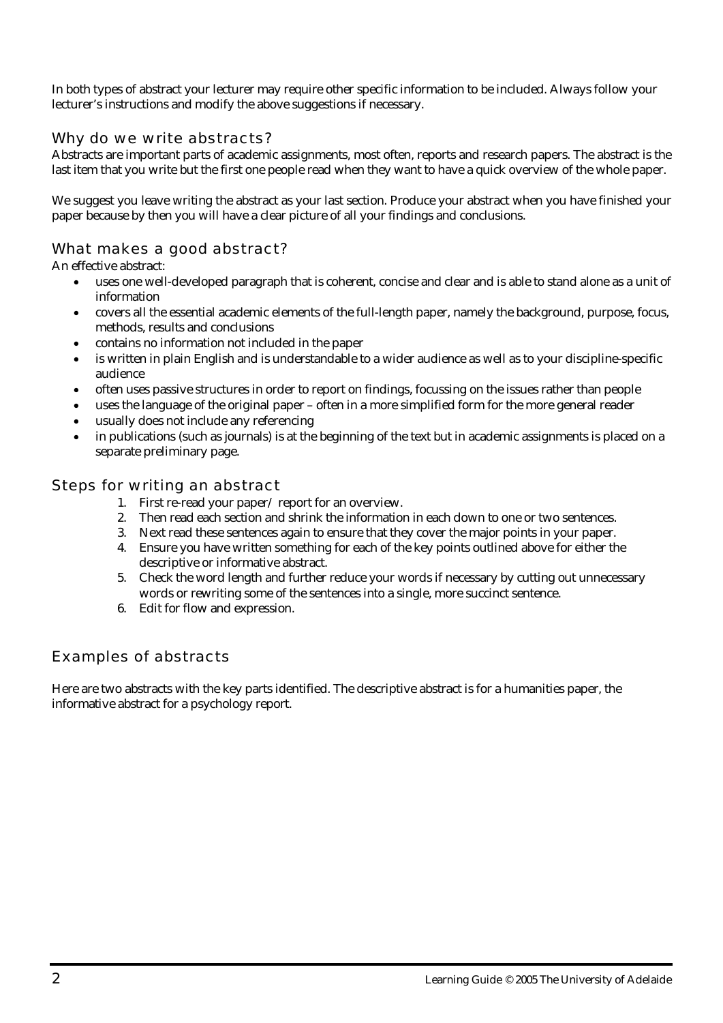In both types of abstract your lecturer may require other specific information to be included. Always follow your lecturer's instructions and modify the above suggestions if necessary.

## Why do we write abstracts?

Abstracts are important parts of academic assignments, most often, reports and research papers. The abstract is the last item that you write but the first one people read when they want to have a quick overview of the whole paper.

We suggest you leave writing the abstract as your last section. Produce your abstract when you have finished your paper because by then you will have a clear picture of all your findings and conclusions.

# What makes a good abstract?

An effective abstract:

- uses one well-developed paragraph that is coherent, concise and clear and is able to stand alone as a unit of information
- covers all the essential academic elements of the full-length paper, namely the background, purpose, focus, methods, results and conclusions
- contains no information not included in the paper
- is written in plain English and is understandable to a wider audience as well as to your discipline-specific audience
- often uses passive structures in order to report on findings, focussing on the issues rather than people
- uses the language of the original paper often in a more simplified form for the more general reader
- usually does not include any referencing
- in publications (such as journals) is at the beginning of the text but in academic assignments is placed on a separate preliminary page.

#### Steps for writing an abstract

- 1. First re-read your paper/ report for an overview.
- 2. Then read each section and shrink the information in each down to one or two sentences.
- 3. Next read these sentences again to ensure that they cover the major points in your paper.
- 4. Ensure you have written something for each of the key points outlined above for either the descriptive or informative abstract.
- 5. Check the word length and further reduce your words if necessary by cutting out unnecessary words or rewriting some of the sentences into a single, more succinct sentence.
- 6. Edit for flow and expression.

# Examples of abstracts

Here are two abstracts with the key parts identified. The descriptive abstract is for a humanities paper, the informative abstract for a psychology report.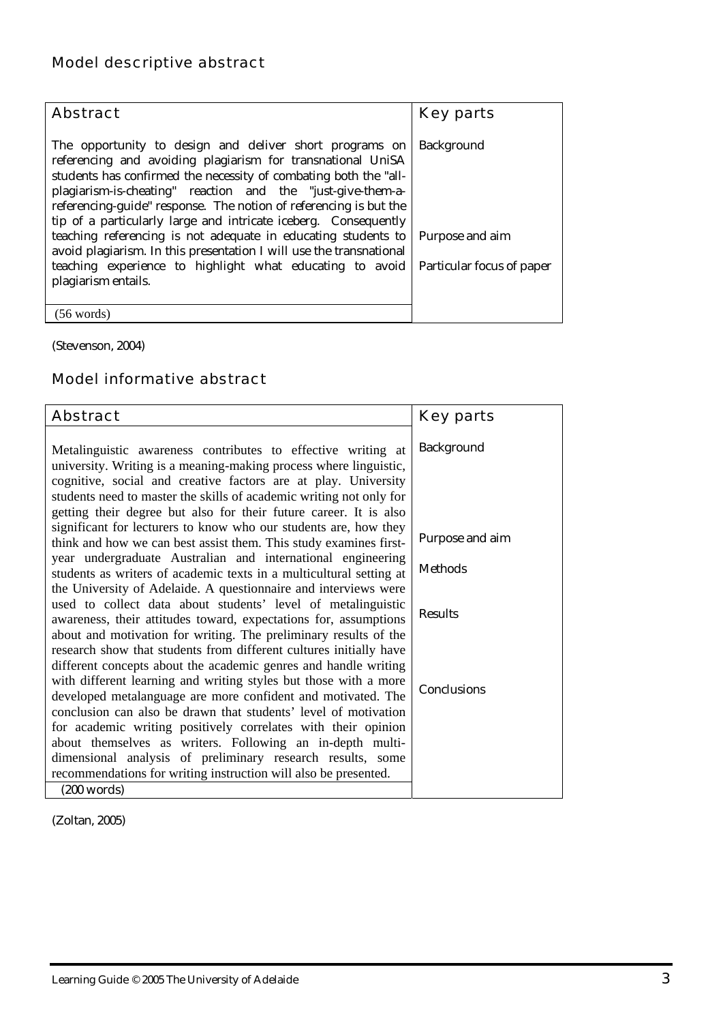| <b>Abstract</b>                                                                                                                                                                                                                                                                                                                                                                                                                                                                                                                                                                                                                                                        | <b>Key parts</b>  |
|------------------------------------------------------------------------------------------------------------------------------------------------------------------------------------------------------------------------------------------------------------------------------------------------------------------------------------------------------------------------------------------------------------------------------------------------------------------------------------------------------------------------------------------------------------------------------------------------------------------------------------------------------------------------|-------------------|
| The opportunity to design and deliver short programs on<br>referencing and avoiding plagiarism for transnational UniSA<br>students has confirmed the necessity of combating both the "all-<br>plagiarism-is-cheating" reaction and the "just-give-them-a-<br>referencing-guide" response. The notion of referencing is but the<br>tip of a particularly large and intricate iceberg. Consequently<br>teaching referencing is not adequate in educating students to Purpose and aim<br>avoid plagiarism. In this presentation I will use the transnational<br>teaching experience to highlight what educating to avoid Particular focus of paper<br>plagiarism entails. | <b>Background</b> |
| $(56 \text{ words})$                                                                                                                                                                                                                                                                                                                                                                                                                                                                                                                                                                                                                                                   |                   |

(Stevenson, 2004)

# Model informative abstract

| <b>Abstract</b>                                                                                                                                                                                                                                                            | <b>Key parts</b> |
|----------------------------------------------------------------------------------------------------------------------------------------------------------------------------------------------------------------------------------------------------------------------------|------------------|
| Metalinguistic awareness contributes to effective writing at<br>university. Writing is a meaning-making process where linguistic,<br>cognitive, social and creative factors are at play. University<br>students need to master the skills of academic writing not only for | Background       |
| getting their degree but also for their future career. It is also<br>significant for lecturers to know who our students are, how they<br>think and how we can best assist them. This study examines first-                                                                 | Purpose and aim  |
| year undergraduate Australian and international engineering<br>students as writers of academic texts in a multicultural setting at                                                                                                                                         | <b>Methods</b>   |
| the University of Adelaide. A questionnaire and interviews were<br>used to collect data about students' level of metalinguistic<br>awareness, their attitudes toward, expectations for, assumptions                                                                        | <b>Results</b>   |
| about and motivation for writing. The preliminary results of the<br>research show that students from different cultures initially have<br>different concepts about the academic genres and handle writing                                                                  |                  |
| with different learning and writing styles but those with a more<br>developed metalanguage are more confident and motivated. The<br>conclusion can also be drawn that students' level of motivation                                                                        | Conclusions      |
| for academic writing positively correlates with their opinion<br>about themselves as writers. Following an in-depth multi-                                                                                                                                                 |                  |
| dimensional analysis of preliminary research results, some<br>recommendations for writing instruction will also be presented.                                                                                                                                              |                  |
| $(200 \text{ words})$                                                                                                                                                                                                                                                      |                  |

(Zoltan, 2005)